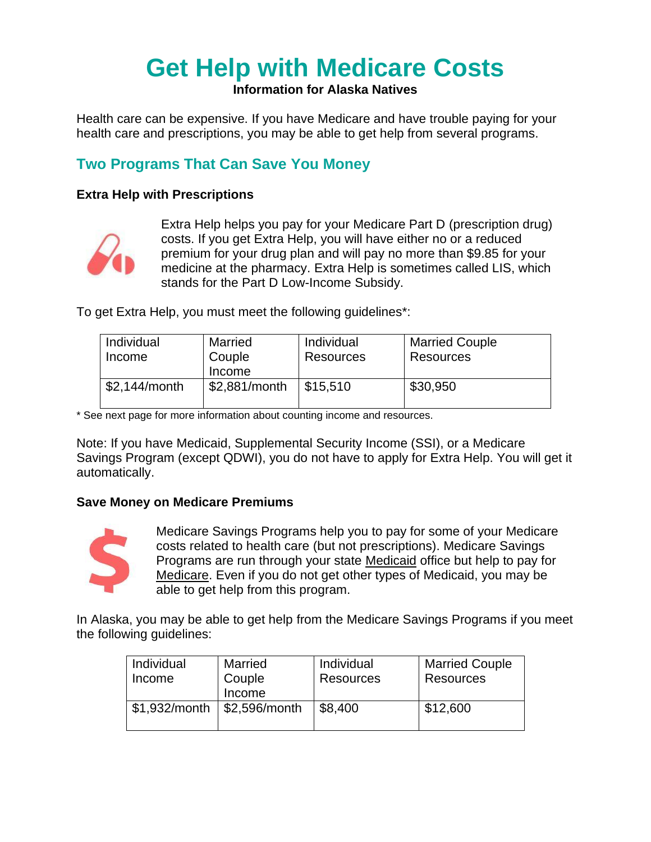# **Get Help with Medicare Costs**

#### **Information for Alaska Natives**

Health care can be expensive. If you have Medicare and have trouble paying for your health care and prescriptions, you may be able to get help from several programs.

## **Two Programs That Can Save You Money**

#### **Extra Help with Prescriptions**



Extra Help helps you pay for your Medicare Part D (prescription drug) costs. If you get Extra Help, you will have either no or a reduced premium for your drug plan and will pay no more than \$9.85 for your medicine at the pharmacy. Extra Help is sometimes called LIS, which stands for the Part D Low-Income Subsidy.

To get Extra Help, you must meet the following guidelines\*:

| <b>Individual</b> | Married       | Individual | <b>Married Couple</b> |
|-------------------|---------------|------------|-----------------------|
| Income            | Couple        | Resources  | Resources             |
|                   | Income        |            |                       |
| \$2,144/month     | \$2,881/month | \$15,510   | \$30,950              |
|                   |               |            |                       |

\* See next page for more information about counting income and resources.

Note: If you have Medicaid, Supplemental Security Income (SSI), or a Medicare Savings Program (except QDWI), you do not have to apply for Extra Help. You will get it automatically.

#### **Save Money on Medicare Premiums**



Medicare Savings Programs help you to pay for some of your Medicare costs related to health care (but not prescriptions). Medicare Savings Programs are run through your state Medicaid office but help to pay for Medicare. Even if you do not get other types of Medicaid, you may be able to get help from this program.

In Alaska, you may be able to get help from the Medicare Savings Programs if you meet the following guidelines:

| Individual<br>Income | <b>Married</b><br>Couple<br>Income | Individual<br><b>Resources</b> | <b>Married Couple</b><br><b>Resources</b> |
|----------------------|------------------------------------|--------------------------------|-------------------------------------------|
| \$1,932/month        | \$2,596/month                      | \$8,400                        | \$12,600                                  |